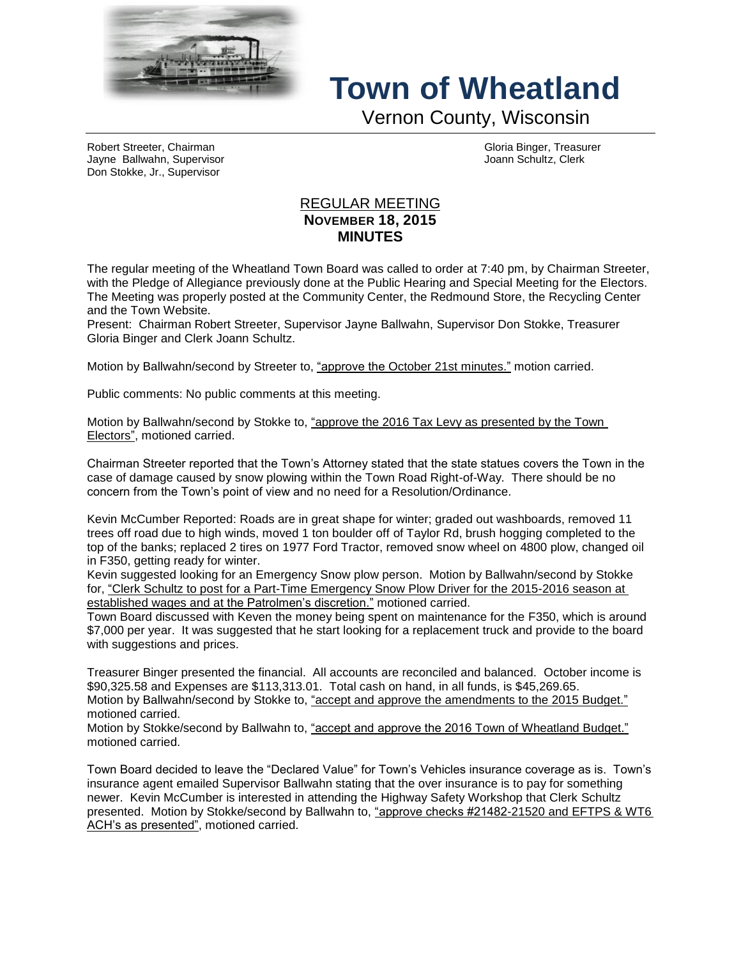

## **Town of Wheatland**

Vernon County, Wisconsin

Robert Streeter, Chairman Gloria Binger, Treasurer Jayne Ballwahn, Supervisor Joann Schultz, Clerk Don Stokke, Jr., Supervisor

## REGULAR MEETING **NOVEMBER 18, 2015 MINUTES**

The regular meeting of the Wheatland Town Board was called to order at 7:40 pm, by Chairman Streeter, with the Pledge of Allegiance previously done at the Public Hearing and Special Meeting for the Electors. The Meeting was properly posted at the Community Center, the Redmound Store, the Recycling Center and the Town Website.

Present: Chairman Robert Streeter, Supervisor Jayne Ballwahn, Supervisor Don Stokke, Treasurer Gloria Binger and Clerk Joann Schultz.

Motion by Ballwahn/second by Streeter to, "approve the October 21st minutes." motion carried.

Public comments: No public comments at this meeting.

Motion by Ballwahn/second by Stokke to, "approve the 2016 Tax Levy as presented by the Town Electors", motioned carried.

Chairman Streeter reported that the Town's Attorney stated that the state statues covers the Town in the case of damage caused by snow plowing within the Town Road Right-of-Way. There should be no concern from the Town's point of view and no need for a Resolution/Ordinance.

Kevin McCumber Reported: Roads are in great shape for winter; graded out washboards, removed 11 trees off road due to high winds, moved 1 ton boulder off of Taylor Rd, brush hogging completed to the top of the banks; replaced 2 tires on 1977 Ford Tractor, removed snow wheel on 4800 plow, changed oil in F350, getting ready for winter.

Kevin suggested looking for an Emergency Snow plow person. Motion by Ballwahn/second by Stokke for, "Clerk Schultz to post for a Part-Time Emergency Snow Plow Driver for the 2015-2016 season at established wages and at the Patrolmen's discretion." motioned carried.

Town Board discussed with Keven the money being spent on maintenance for the F350, which is around \$7,000 per year. It was suggested that he start looking for a replacement truck and provide to the board with suggestions and prices.

Treasurer Binger presented the financial. All accounts are reconciled and balanced. October income is \$90,325.58 and Expenses are \$113,313.01. Total cash on hand, in all funds, is \$45,269.65. Motion by Ballwahn/second by Stokke to, "accept and approve the amendments to the 2015 Budget." motioned carried.

Motion by Stokke/second by Ballwahn to, "accept and approve the 2016 Town of Wheatland Budget." motioned carried.

Town Board decided to leave the "Declared Value" for Town's Vehicles insurance coverage as is. Town's insurance agent emailed Supervisor Ballwahn stating that the over insurance is to pay for something newer. Kevin McCumber is interested in attending the Highway Safety Workshop that Clerk Schultz presented. Motion by Stokke/second by Ballwahn to, "approve checks #21482-21520 and EFTPS & WT6 ACH's as presented", motioned carried.